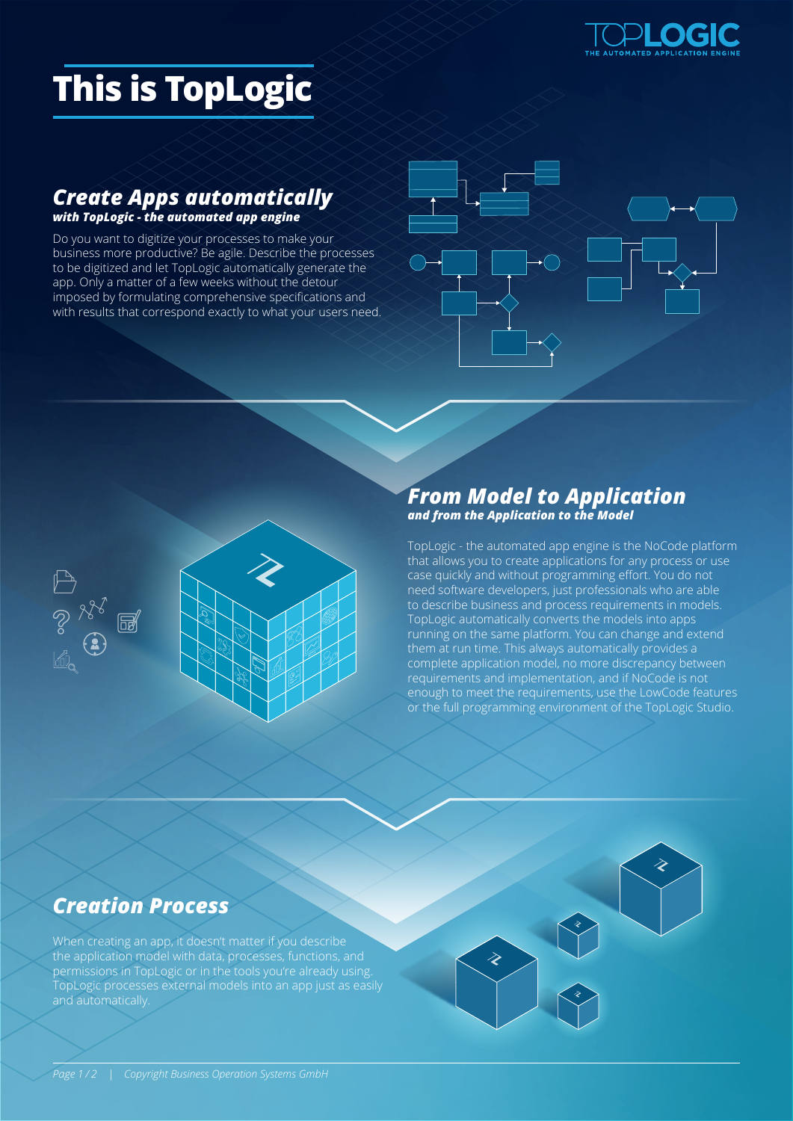

# **This is TopLogic**

#### *Create Apps automatically with TopLogic - the automated app engine*

Do you want to digitize your processes to make your business more productive? Be agile. Describe the processes to be digitized and let TopLogic automatically generate the app. Only a matter of a few weeks without the detour imposed by formulating comprehensive specifications and with results that correspond exactly to what your users need.





### *From Model to Application and from the Application to the Model*

TopLogic - the automated app engine is the NoCode platform that allows you to create applications for any process or use case quickly and without programming effort. You do not need software developers, just professionals who are able to describe business and process requirements in models. TopLogic automatically converts the models into apps running on the same platform. You can change and extend them at run time. This always automatically provides a complete application model, no more discrepancy between requirements and implementation, and if NoCode is not enough to meet the requirements, use the LowCode features or the full programming environment of the TopLogic Studio.

## *Creation Process*

When creating an app, it doesn't matter if you describe the application model with data, processes, functions, and permissions in TopLogic or in the tools you're already using. TopLogic processes external models into an app just as easily and automatically.